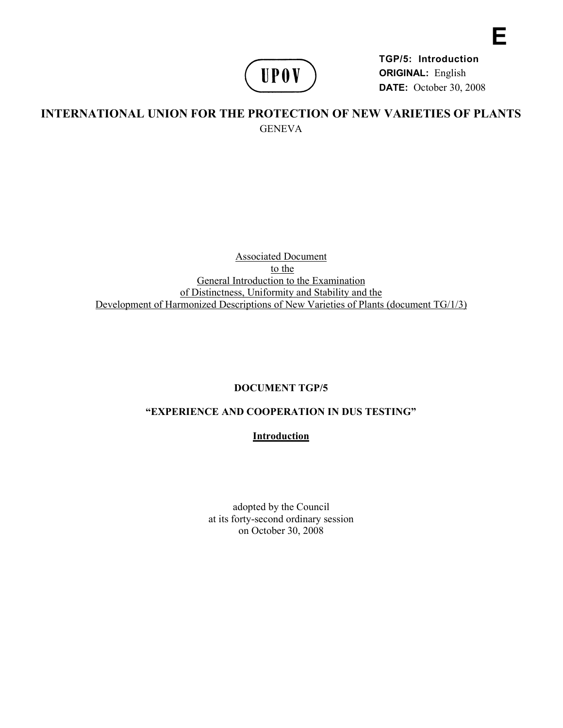

**TGP/5: Introduction ORIGINAL:** English **DATE:** October 30, 2008 **E** 

# **INTERNATIONAL UNION FOR THE PROTECTION OF NEW VARIETIES OF PLANTS GENEVA**

### Associated Document to the General Introduction to the Examination of Distinctness, Uniformity and Stability and the Development of Harmonized Descriptions of New Varieties of Plants (document TG/1/3)

# **DOCUMENT TGP/5**

# **"EXPERIENCE AND COOPERATION IN DUS TESTING"**

## **Introduction**

adopted by the Council at its forty-second ordinary session on October 30, 2008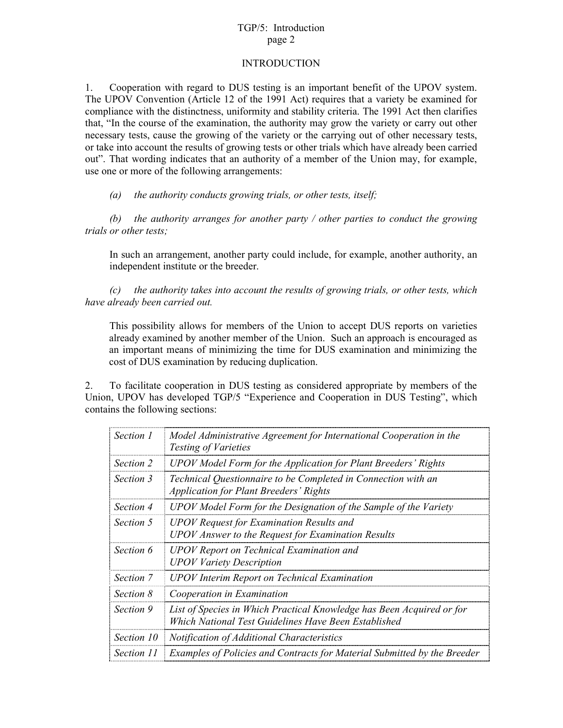### TGP/5: Introduction page 2

#### INTRODUCTION

1. Cooperation with regard to DUS testing is an important benefit of the UPOV system. The UPOV Convention (Article 12 of the 1991 Act) requires that a variety be examined for compliance with the distinctness, uniformity and stability criteria. The 1991 Act then clarifies that, "In the course of the examination, the authority may grow the variety or carry out other necessary tests, cause the growing of the variety or the carrying out of other necessary tests, or take into account the results of growing tests or other trials which have already been carried out". That wording indicates that an authority of a member of the Union may, for example, use one or more of the following arrangements:

*(a) the authority conducts growing trials, or other tests, itself;* 

*(b) the authority arranges for another party / other parties to conduct the growing trials or other tests;* 

In such an arrangement, another party could include, for example, another authority, an independent institute or the breeder.

*(c) the authority takes into account the results of growing trials, or other tests, which have already been carried out.* 

This possibility allows for members of the Union to accept DUS reports on varieties already examined by another member of the Union. Such an approach is encouraged as an important means of minimizing the time for DUS examination and minimizing the cost of DUS examination by reducing duplication.

2. To facilitate cooperation in DUS testing as considered appropriate by members of the Union, UPOV has developed TGP/5 "Experience and Cooperation in DUS Testing", which contains the following sections:

| Section 1         | Model Administrative Agreement for International Cooperation in the<br><b>Testing of Varieties</b>                            |
|-------------------|-------------------------------------------------------------------------------------------------------------------------------|
| Section 2         | UPOV Model Form for the Application for Plant Breeders' Rights                                                                |
| Section 3         | Technical Questionnaire to be Completed in Connection with an<br><b>Application for Plant Breeders' Rights</b>                |
| <i>Section 4</i>  | UPOV Model Form for the Designation of the Sample of the Variety                                                              |
| <i>Section</i> 5  | <b>UPOV</b> Request for Examination Results and<br><b>UPOV</b> Answer to the Request for Examination Results                  |
| Section 6         | <b>UPOV</b> Report on Technical Examination and<br><b>UPOV Variety Description</b>                                            |
| <i>Section</i> 7  | <b>UPOV</b> Interim Report on Technical Examination                                                                           |
| <i>Section 8</i>  | Cooperation in Examination                                                                                                    |
| Section 9         | List of Species in Which Practical Knowledge has Been Acquired or for<br>Which National Test Guidelines Have Been Established |
| Section 10        | <i>Notification of Additional Characteristics</i>                                                                             |
| <i>Section 11</i> | Examples of Policies and Contracts for Material Submitted by the Breeder                                                      |